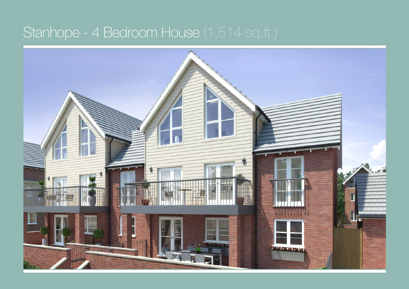## Stanhope - 4 Bedroom House (1,514 sq.ft.)